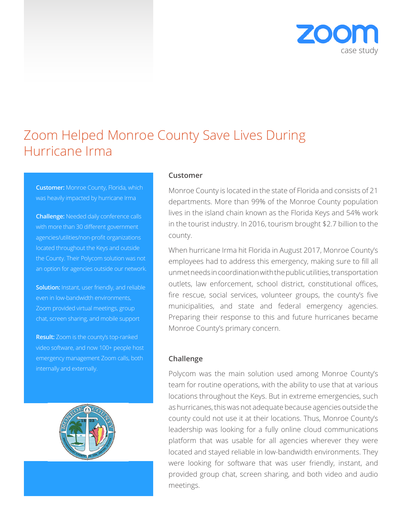

# Zoom Helped Monroe County Save Lives During Hurricane Irma

**Customer:** Monroe County, Florida, which was heavily impacted by hurricane Irma

**Challenge:** Needed daily conference calls with more than 30 different government agencies/utilities/non-profit organizations located throughout the Keys and outside the County. Their Polycom solution was not an option for agencies outside our network.

**Solution:** Instant, user friendly, and reliable even in low-bandwidth environments, Zoom provided virtual meetings, group chat, screen sharing, and mobile support

**Result:** Zoom is the county's top-ranked video software, and now 100+ people host emergency management Zoom calls, both internally and externally.



### **Customer**

Monroe County is located in the state of Florida and consists of 21 departments. More than 99% of the Monroe County population lives in the island chain known as the Florida Keys and 54% work in the tourist industry. In 2016, tourism brought \$2.7 billion to the county.

When hurricane Irma hit Florida in August 2017, Monroe County's employees had to address this emergency, making sure to fill all unmet needs in coordination with the public utilities, transportation outlets, law enforcement, school district, constitutional offices, fire rescue, social services, volunteer groups, the county's five municipalities, and state and federal emergency agencies. Preparing their response to this and future hurricanes became Monroe County's primary concern.

### **Challenge**

Polycom was the main solution used among Monroe County's team for routine operations, with the ability to use that at various locations throughout the Keys. But in extreme emergencies, such as hurricanes, this was not adequate because agencies outside the county could not use it at their locations. Thus, Monroe County's leadership was looking for a fully online cloud communications platform that was usable for all agencies wherever they were located and stayed reliable in low-bandwidth environments. They were looking for software that was user friendly, instant, and provided group chat, screen sharing, and both video and audio meetings.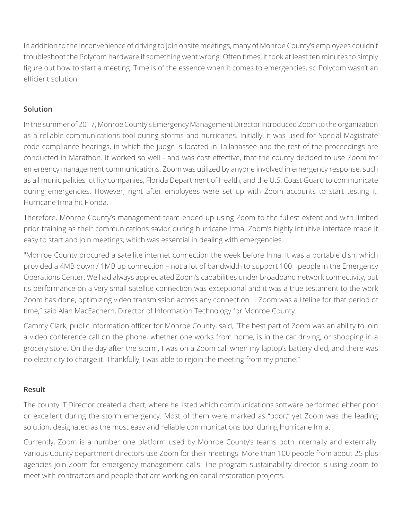In addition to the inconvenience of driving to join onsite meetings, many of Monroe County's employees couldn't troubleshoot the Polycom hardware if something went wrong. Often times, it took at least ten minutes to simply figure out how to start a meeting. Time is of the essence when it comes to emergencies, so Polycom wasn't an efficient solution.

## **Solution**

In the summer of 2017, Monroe County's Emergency Management Director introduced Zoom to the organization as a reliable communications tool during storms and hurricanes. Initially, it was used for Special Magistrate code compliance hearings, in which the judge is located in Tallahassee and the rest of the proceedings are conducted in Marathon. It worked so well - and was cost effective, that the county decided to use Zoom for emergency management communications. Zoom was utilized by anyone involved in emergency response, such as all municipalities, utility companies, Florida Department of Health, and the U.S. Coast Guard to communicate during emergencies. However, right after employees were set up with Zoom accounts to start testing it, Hurricane Irma hit Florida.

Therefore, Monroe County's management team ended up using Zoom to the fullest extent and with limited prior training as their communications savior during hurricane Irma. Zoom's highly intuitive interface made it easy to start and join meetings, which was essential in dealing with emergencies.

"Monroe County procured a satellite internet connection the week before Irma. It was a portable dish, which provided a 4MB down / 1MB up connection – not a lot of bandwidth to support 100+ people in the Emergency Operations Center. We had always appreciated Zoom's capabilities under broadband network connectivity, but its performance on a very small satellite connection was exceptional and it was a true testament to the work Zoom has done, optimizing video transmission across any connection ... Zoom was a lifeline for that period of time," said Alan MacEachern, Director of Information Technology for Monroe County.

Cammy Clark, public information officer for Monroe County, said, "The best part of Zoom was an ability to join a video conference call on the phone, whether one works from home, is in the car driving, or shopping in a grocery store. On the day after the storm, I was on a Zoom call when my laptop's battery died, and there was no electricity to charge it. Thankfully, I was able to rejoin the meeting from my phone."

### **Result**

The county IT Director created a chart, where he listed which communications software performed either poor or excellent during the storm emergency. Most of them were marked as "poor," yet Zoom was the leading solution, designated as the most easy and reliable communications tool during Hurricane Irma.

Currently, Zoom is a number one platform used by Monroe County's teams both internally and externally. Various County department directors use Zoom for their meetings. More than 100 people from about 25 plus agencies join Zoom for emergency management calls. The program sustainability director is using Zoom to meet with contractors and people that are working on canal restoration projects.